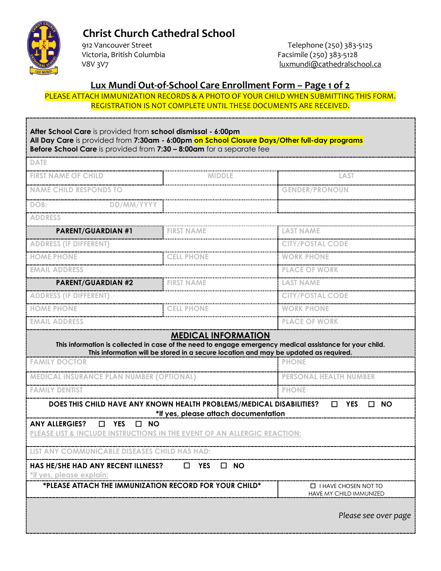

# **Christ Church Cathedral School**<br>912 Vancouver Street

Victoria, British Columbia<br>
V8V 3V7<br>
V8V 3V7<br>
Inxmundi@cathedralsch

 912 Vancouver Street Telephone (250) 383-5125 luxmundi@cathedralschool.ca

## **Lux Mundi Out-of-School Care Enrollment Form – Page 1 of 2**

PLEASE ATTACH IMMUNIZATION RECORDS & A PHOTO OF YOUR CHILD WHEN SUBMITTING THIS FORM. REGISTRATION IS NOT COMPLETE UNTIL THESE DOCUMENTS ARE RECEIVED.

| After School Care is provided from school dismissal - 6:00pm<br>All Day Care is provided from 7:30am - 6:00pm on School Closure Days/Other full-day programs<br>Before School Care is provided from 7:30 - 8:00am for a separate fee |                                                                                                                                                                                                                                |                                                        |  |
|--------------------------------------------------------------------------------------------------------------------------------------------------------------------------------------------------------------------------------------|--------------------------------------------------------------------------------------------------------------------------------------------------------------------------------------------------------------------------------|--------------------------------------------------------|--|
| <b>DATE</b>                                                                                                                                                                                                                          |                                                                                                                                                                                                                                |                                                        |  |
| <b>FIRST NAME OF CHILD</b>                                                                                                                                                                                                           | MIDDLE                                                                                                                                                                                                                         | LAST                                                   |  |
| <b>NAME CHILD RESPONDS TO</b>                                                                                                                                                                                                        |                                                                                                                                                                                                                                | <b>GENDER/PRONOUN</b>                                  |  |
| DOB:<br>DD/MM/YYYY                                                                                                                                                                                                                   |                                                                                                                                                                                                                                |                                                        |  |
| <b>ADDRESS</b>                                                                                                                                                                                                                       |                                                                                                                                                                                                                                |                                                        |  |
| <b>PARENT/GUARDIAN #1</b>                                                                                                                                                                                                            | <b>FIRST NAME</b>                                                                                                                                                                                                              | <b>LAST NAME</b>                                       |  |
| <b>ADDRESS (IF DIFFERENT)</b>                                                                                                                                                                                                        |                                                                                                                                                                                                                                | <b>CITY/POSTAL CODE</b>                                |  |
| <b>HOME PHONE</b>                                                                                                                                                                                                                    | <b>CELL PHONE</b>                                                                                                                                                                                                              | <b>WORK PHONE</b>                                      |  |
| <b>EMAIL ADDRESS</b>                                                                                                                                                                                                                 |                                                                                                                                                                                                                                | <b>PLACE OF WORK</b>                                   |  |
| <b>PARENT/GUARDIAN #2</b>                                                                                                                                                                                                            | <b>FIRST NAME</b>                                                                                                                                                                                                              | <b>LAST NAME</b>                                       |  |
| <b>ADDRESS (IF DIFFERENT)</b>                                                                                                                                                                                                        |                                                                                                                                                                                                                                | <b>CITY/POSTAL CODE</b>                                |  |
| <b>HOME PHONE</b>                                                                                                                                                                                                                    | <b>CELL PHONE</b>                                                                                                                                                                                                              | <b>WORK PHONE</b>                                      |  |
| <b>EMAIL ADDRESS</b>                                                                                                                                                                                                                 |                                                                                                                                                                                                                                | <b>PLACE OF WORK</b>                                   |  |
|                                                                                                                                                                                                                                      | <b>MEDICAL INFORMATION</b><br>This information is collected in case of the need to engage emergency medical assistance for your child.<br>This information will be stored in a secure location and may be updated as required. |                                                        |  |
| <b>FAMILY DOCTOR</b>                                                                                                                                                                                                                 |                                                                                                                                                                                                                                | <b>PHONE</b>                                           |  |
| <b>MEDICAL INSURANCE PLAN NUMBER (OPTIONAL)</b>                                                                                                                                                                                      |                                                                                                                                                                                                                                | <b>PERSONAL HEALTH NUMBER</b>                          |  |
| <b>FAMILY DENTIST</b>                                                                                                                                                                                                                |                                                                                                                                                                                                                                | <b>PHONE</b>                                           |  |
|                                                                                                                                                                                                                                      | DOES THIS CHILD HAVE ANY KNOWN HEALTH PROBLEMS/MEDICAL DISABILITIES?<br>*If yes, please attach documentation                                                                                                                   | <b>YES</b><br>$\Box$ NO<br>$\Box$                      |  |
| <b>ANY ALLERGIES?</b><br>$\Box$<br><b>YES</b><br><b>NO</b><br>$\Box$<br>PLEASE LIST & INCLUDE INSTRUCTIONS IN THE EVENT OF AN ALLERGIC REACTION:                                                                                     |                                                                                                                                                                                                                                |                                                        |  |
| <b>COMMUNICABLE DISEASES CHILD HAS HAD:</b>                                                                                                                                                                                          |                                                                                                                                                                                                                                |                                                        |  |
| HAS HE/SHE HAD ANY RECENT ILLNESS?<br>*if yes, please explain:                                                                                                                                                                       | <b>NO</b><br><b>YES</b><br>. .                                                                                                                                                                                                 |                                                        |  |
| *PLEASE ATTACH THE IMMUNIZATION RECORD FOR YOUR CHILD*                                                                                                                                                                               |                                                                                                                                                                                                                                | $\Box$ I HAVE CHOSEN NOT TO<br>HAVE MY CHILD IMMUNIZED |  |
|                                                                                                                                                                                                                                      |                                                                                                                                                                                                                                | Please see over page                                   |  |